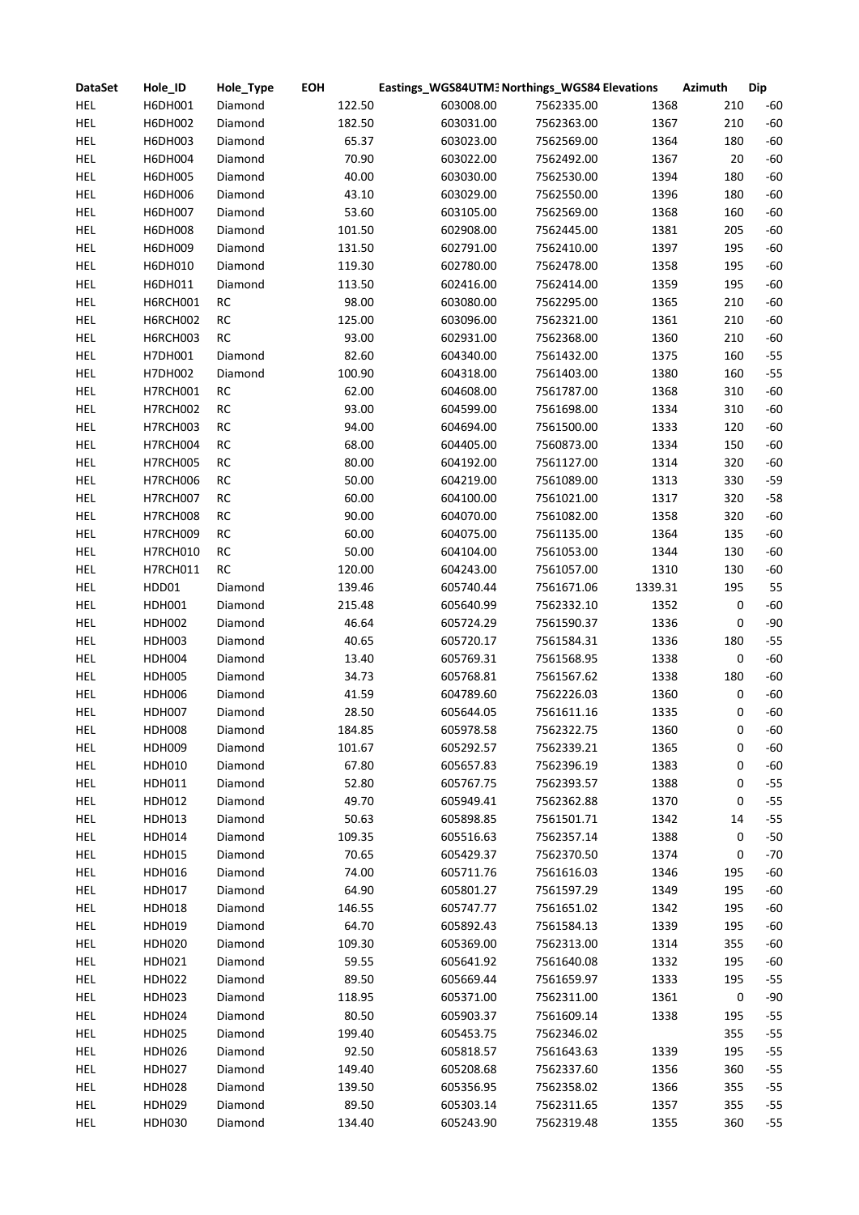| <b>DataSet</b> | Hole_ID       | Hole_Type | <b>EOH</b> | Eastings_WGS84UTM3 Northings_WGS84 Elevations |            |         | <b>Azimuth</b> | <b>Dip</b> |
|----------------|---------------|-----------|------------|-----------------------------------------------|------------|---------|----------------|------------|
| <b>HEL</b>     | H6DH001       | Diamond   | 122.50     | 603008.00                                     | 7562335.00 | 1368    | 210            | $-60$      |
| <b>HEL</b>     | H6DH002       | Diamond   | 182.50     | 603031.00                                     | 7562363.00 | 1367    | 210            | $-60$      |
| <b>HEL</b>     | H6DH003       | Diamond   | 65.37      | 603023.00                                     | 7562569.00 | 1364    | 180            | $-60$      |
| HEL            | H6DH004       | Diamond   | 70.90      | 603022.00                                     | 7562492.00 | 1367    | 20             | $-60$      |
| <b>HEL</b>     | H6DH005       | Diamond   | 40.00      | 603030.00                                     | 7562530.00 | 1394    | 180            | $-60$      |
| <b>HEL</b>     | H6DH006       | Diamond   | 43.10      | 603029.00                                     | 7562550.00 | 1396    | 180            | $-60$      |
| <b>HEL</b>     | H6DH007       | Diamond   | 53.60      | 603105.00                                     | 7562569.00 | 1368    | 160            | $-60$      |
| <b>HEL</b>     | H6DH008       | Diamond   | 101.50     | 602908.00                                     | 7562445.00 | 1381    | 205            | $-60$      |
| <b>HEL</b>     | H6DH009       | Diamond   | 131.50     | 602791.00                                     | 7562410.00 | 1397    | 195            | $-60$      |
| <b>HEL</b>     | H6DH010       | Diamond   | 119.30     | 602780.00                                     | 7562478.00 | 1358    | 195            | $-60$      |
| <b>HEL</b>     | H6DH011       | Diamond   | 113.50     | 602416.00                                     | 7562414.00 | 1359    | 195            | $-60$      |
| <b>HEL</b>     | H6RCH001      | RC        | 98.00      | 603080.00                                     | 7562295.00 | 1365    | 210            | $-60$      |
| <b>HEL</b>     | H6RCH002      | RC        | 125.00     | 603096.00                                     | 7562321.00 | 1361    | 210            | $-60$      |
| <b>HEL</b>     | H6RCH003      | RC        | 93.00      | 602931.00                                     | 7562368.00 | 1360    | 210            | $-60$      |
| <b>HEL</b>     | H7DH001       | Diamond   | 82.60      | 604340.00                                     | 7561432.00 | 1375    | 160            | $-55$      |
| HEL            | H7DH002       | Diamond   | 100.90     | 604318.00                                     | 7561403.00 | 1380    | 160            | $-55$      |
| HEL            | H7RCH001      | RC        | 62.00      | 604608.00                                     | 7561787.00 | 1368    | 310            | $-60$      |
| <b>HEL</b>     | H7RCH002      | RC        | 93.00      | 604599.00                                     | 7561698.00 | 1334    | 310            | $-60$      |
| HEL            | H7RCH003      | RC        | 94.00      | 604694.00                                     | 7561500.00 | 1333    | 120            | $-60$      |
| HEL            | H7RCH004      | RC        | 68.00      | 604405.00                                     | 7560873.00 | 1334    | 150            | $-60$      |
| <b>HEL</b>     | H7RCH005      | RC        | 80.00      | 604192.00                                     | 7561127.00 | 1314    | 320            | $-60$      |
| <b>HEL</b>     | H7RCH006      | RC        | 50.00      | 604219.00                                     | 7561089.00 | 1313    | 330            | $-59$      |
| <b>HEL</b>     | H7RCH007      | RC        | 60.00      | 604100.00                                     | 7561021.00 | 1317    | 320            | $-58$      |
| <b>HEL</b>     | H7RCH008      | RC        | 90.00      | 604070.00                                     | 7561082.00 | 1358    | 320            | $-60$      |
| <b>HEL</b>     | H7RCH009      | RC        | 60.00      | 604075.00                                     | 7561135.00 | 1364    | 135            | $-60$      |
|                |               |           |            |                                               |            |         |                | $-60$      |
| <b>HEL</b>     | H7RCH010      | RC        | 50.00      | 604104.00                                     | 7561053.00 | 1344    | 130            |            |
| <b>HEL</b>     | H7RCH011      | RC        | 120.00     | 604243.00                                     | 7561057.00 | 1310    | 130            | $-60$      |
| <b>HEL</b>     | HDD01         | Diamond   | 139.46     | 605740.44                                     | 7561671.06 | 1339.31 | 195            | 55         |
| HEL            | HDH001        | Diamond   | 215.48     | 605640.99                                     | 7562332.10 | 1352    | 0              | $-60$      |
| HEL            | <b>HDH002</b> | Diamond   | 46.64      | 605724.29                                     | 7561590.37 | 1336    | 0              | $-90$      |
| HEL            | HDH003        | Diamond   | 40.65      | 605720.17                                     | 7561584.31 | 1336    | 180            | $-55$      |
| HEL            | HDH004        | Diamond   | 13.40      | 605769.31                                     | 7561568.95 | 1338    | 0              | $-60$      |
| HEL            | <b>HDH005</b> | Diamond   | 34.73      | 605768.81                                     | 7561567.62 | 1338    | 180            | $-60$      |
| HEL            | HDH006        | Diamond   | 41.59      | 604789.60                                     | 7562226.03 | 1360    | 0              | $-60$      |
| <b>HEL</b>     | <b>HDH007</b> | Diamond   | 28.50      | 605644.05                                     | 7561611.16 | 1335    | 0              | $-60$      |
| HEL            | <b>HDH008</b> | Diamond   | 184.85     | 605978.58                                     | 7562322.75 | 1360    | 0              | $-60$      |
| HEL            | HDH009        | Diamond   | 101.67     | 605292.57                                     | 7562339.21 | 1365    | 0              | $-60$      |
| <b>HEL</b>     | HDH010        | Diamond   | 67.80      | 605657.83                                     | 7562396.19 | 1383    | 0              | $-60$      |
| <b>HEL</b>     | HDH011        | Diamond   | 52.80      | 605767.75                                     | 7562393.57 | 1388    | 0              | $-55$      |
| <b>HEL</b>     | <b>HDH012</b> | Diamond   | 49.70      | 605949.41                                     | 7562362.88 | 1370    | 0              | $-55$      |
| <b>HEL</b>     | HDH013        | Diamond   | 50.63      | 605898.85                                     | 7561501.71 | 1342    | 14             | $-55$      |
| <b>HEL</b>     | HDH014        | Diamond   | 109.35     | 605516.63                                     | 7562357.14 | 1388    | 0              | $-50$      |
| <b>HEL</b>     | <b>HDH015</b> | Diamond   | 70.65      | 605429.37                                     | 7562370.50 | 1374    | 0              | $-70$      |
| <b>HEL</b>     | HDH016        | Diamond   | 74.00      | 605711.76                                     | 7561616.03 | 1346    | 195            | $-60$      |
| <b>HEL</b>     | <b>HDH017</b> | Diamond   | 64.90      | 605801.27                                     | 7561597.29 | 1349    | 195            | $-60$      |
| <b>HEL</b>     | <b>HDH018</b> | Diamond   | 146.55     | 605747.77                                     | 7561651.02 | 1342    | 195            | $-60$      |
| <b>HEL</b>     | HDH019        | Diamond   | 64.70      | 605892.43                                     | 7561584.13 | 1339    | 195            | $-60$      |
| <b>HEL</b>     | HDH020        | Diamond   | 109.30     | 605369.00                                     | 7562313.00 | 1314    | 355            | $-60$      |
| <b>HEL</b>     | HDH021        | Diamond   | 59.55      | 605641.92                                     | 7561640.08 | 1332    | 195            | $-60$      |
| <b>HEL</b>     | <b>HDH022</b> | Diamond   | 89.50      | 605669.44                                     | 7561659.97 | 1333    | 195            | $-55$      |
| <b>HEL</b>     | HDH023        | Diamond   | 118.95     | 605371.00                                     | 7562311.00 | 1361    | 0              | $-90$      |
| <b>HEL</b>     | HDH024        | Diamond   | 80.50      | 605903.37                                     | 7561609.14 | 1338    | 195            | $-55$      |
| <b>HEL</b>     | <b>HDH025</b> | Diamond   | 199.40     | 605453.75                                     | 7562346.02 |         | 355            | $-55$      |
| <b>HEL</b>     | HDH026        | Diamond   | 92.50      | 605818.57                                     | 7561643.63 | 1339    | 195            | $-55$      |
| <b>HEL</b>     | <b>HDH027</b> | Diamond   | 149.40     | 605208.68                                     | 7562337.60 | 1356    | 360            | $-55$      |
| <b>HEL</b>     | <b>HDH028</b> | Diamond   | 139.50     | 605356.95                                     | 7562358.02 | 1366    | 355            | $-55$      |
| <b>HEL</b>     | <b>HDH029</b> | Diamond   | 89.50      | 605303.14                                     | 7562311.65 | 1357    | 355            | $-55$      |
| HEL            | HDH030        | Diamond   | 134.40     | 605243.90                                     | 7562319.48 | 1355    | 360            | $-55$      |
|                |               |           |            |                                               |            |         |                |            |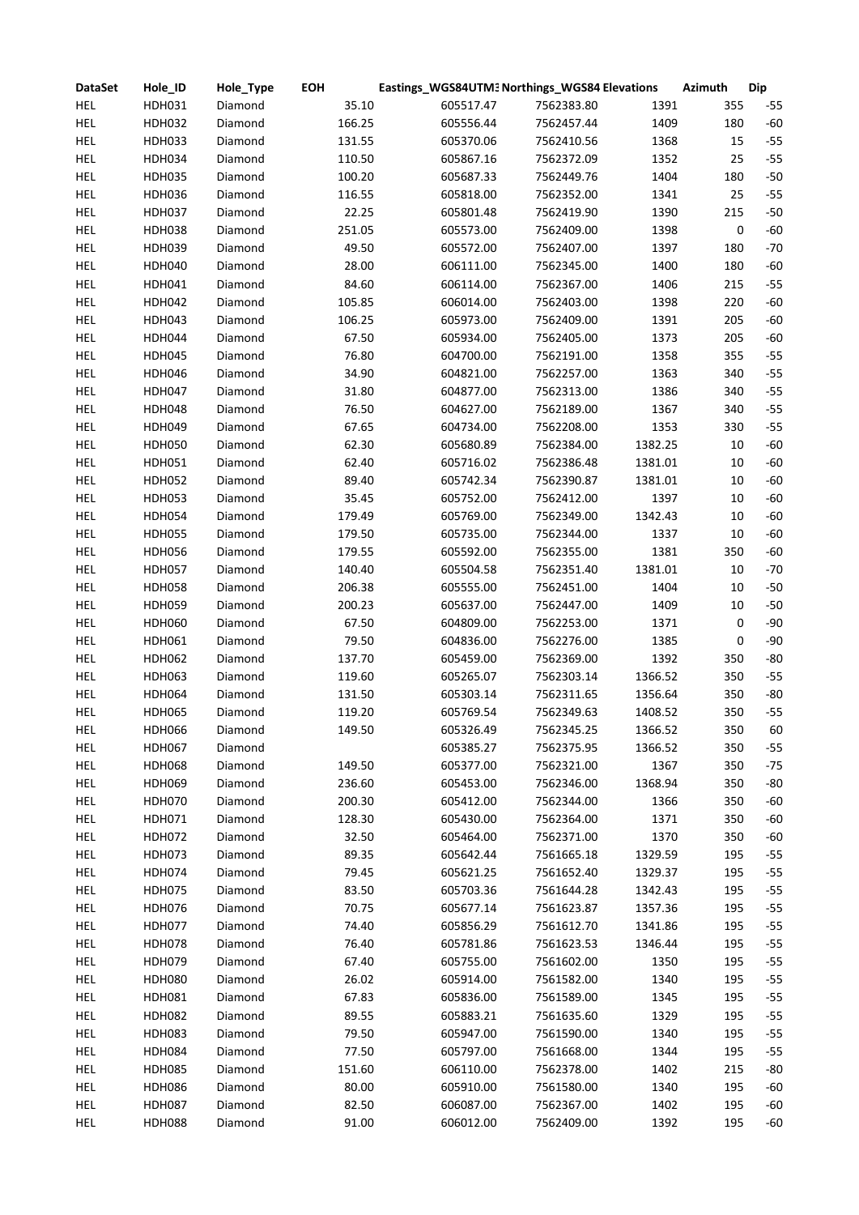| <b>DataSet</b> | Hole_ID       | Hole_Type | <b>EOH</b> | Eastings_WGS84UTM3 Northings_WGS84 Elevations |            |         | <b>Azimuth</b> | <b>Dip</b> |
|----------------|---------------|-----------|------------|-----------------------------------------------|------------|---------|----------------|------------|
| <b>HEL</b>     | HDH031        | Diamond   | 35.10      | 605517.47                                     | 7562383.80 | 1391    | 355            | $-55$      |
| <b>HEL</b>     | <b>HDH032</b> | Diamond   | 166.25     | 605556.44                                     | 7562457.44 | 1409    | 180            | $-60$      |
| HEL            | <b>HDH033</b> | Diamond   | 131.55     | 605370.06                                     | 7562410.56 | 1368    | 15             | $-55$      |
| HEL            | <b>HDH034</b> | Diamond   | 110.50     | 605867.16                                     | 7562372.09 | 1352    | 25             | $-55$      |
| HEL            | <b>HDH035</b> | Diamond   | 100.20     | 605687.33                                     | 7562449.76 | 1404    | 180            | $-50$      |
| <b>HEL</b>     | <b>HDH036</b> | Diamond   | 116.55     | 605818.00                                     | 7562352.00 | 1341    | 25             | $-55$      |
| <b>HEL</b>     | <b>HDH037</b> | Diamond   | 22.25      | 605801.48                                     | 7562419.90 | 1390    | 215            | $-50$      |
| <b>HEL</b>     | <b>HDH038</b> | Diamond   | 251.05     | 605573.00                                     | 7562409.00 | 1398    | 0              | $-60$      |
| <b>HEL</b>     | <b>HDH039</b> | Diamond   | 49.50      | 605572.00                                     | 7562407.00 | 1397    | 180            | $-70$      |
| <b>HEL</b>     | <b>HDH040</b> | Diamond   | 28.00      | 606111.00                                     | 7562345.00 | 1400    | 180            | $-60$      |
| <b>HEL</b>     | HDH041        | Diamond   | 84.60      | 606114.00                                     | 7562367.00 | 1406    | 215            | $-55$      |
| <b>HEL</b>     | HDH042        | Diamond   | 105.85     | 606014.00                                     | 7562403.00 | 1398    | 220            | $-60$      |
| <b>HEL</b>     | <b>HDH043</b> | Diamond   | 106.25     | 605973.00                                     | 7562409.00 | 1391    | 205            | $-60$      |
| <b>HEL</b>     | <b>HDH044</b> | Diamond   | 67.50      | 605934.00                                     | 7562405.00 | 1373    | 205            | $-60$      |
| HEL            | <b>HDH045</b> | Diamond   | 76.80      | 604700.00                                     | 7562191.00 | 1358    | 355            | $-55$      |
| <b>HEL</b>     | <b>HDH046</b> | Diamond   | 34.90      | 604821.00                                     | 7562257.00 | 1363    | 340            | $-55$      |
| <b>HEL</b>     | <b>HDH047</b> | Diamond   | 31.80      | 604877.00                                     | 7562313.00 | 1386    | 340            | $-55$      |
| <b>HEL</b>     | <b>HDH048</b> | Diamond   | 76.50      | 604627.00                                     | 7562189.00 | 1367    | 340            | $-55$      |
| HEL            | <b>HDH049</b> | Diamond   | 67.65      | 604734.00                                     | 7562208.00 | 1353    | 330            | $-55$      |
| HEL            | <b>HDH050</b> | Diamond   | 62.30      | 605680.89                                     | 7562384.00 | 1382.25 | 10             | $-60$      |
| HEL            | HDH051        | Diamond   | 62.40      | 605716.02                                     | 7562386.48 | 1381.01 | 10             | $-60$      |
| HEL            | <b>HDH052</b> | Diamond   | 89.40      | 605742.34                                     | 7562390.87 | 1381.01 | 10             | $-60$      |
| <b>HEL</b>     | HDH053        | Diamond   | 35.45      | 605752.00                                     | 7562412.00 | 1397    | 10             | $-60$      |
| <b>HEL</b>     | <b>HDH054</b> |           | 179.49     |                                               | 7562349.00 | 1342.43 | 10             | $-60$      |
|                |               | Diamond   |            | 605769.00                                     |            |         |                | $-60$      |
| <b>HEL</b>     | <b>HDH055</b> | Diamond   | 179.50     | 605735.00                                     | 7562344.00 | 1337    | 10             |            |
| <b>HEL</b>     | <b>HDH056</b> | Diamond   | 179.55     | 605592.00                                     | 7562355.00 | 1381    | 350            | $-60$      |
| <b>HEL</b>     | <b>HDH057</b> | Diamond   | 140.40     | 605504.58                                     | 7562351.40 | 1381.01 | 10             | $-70$      |
| HEL            | <b>HDH058</b> | Diamond   | 206.38     | 605555.00                                     | 7562451.00 | 1404    | 10             | $-50$      |
| <b>HEL</b>     | <b>HDH059</b> | Diamond   | 200.23     | 605637.00                                     | 7562447.00 | 1409    | 10             | $-50$      |
| <b>HEL</b>     | <b>HDH060</b> | Diamond   | 67.50      | 604809.00                                     | 7562253.00 | 1371    | 0              | $-90$      |
| HEL            | HDH061        | Diamond   | 79.50      | 604836.00                                     | 7562276.00 | 1385    | 0              | $-90$      |
| HEL            | HDH062        | Diamond   | 137.70     | 605459.00                                     | 7562369.00 | 1392    | 350            | $-80$      |
| HEL            | HDH063        | Diamond   | 119.60     | 605265.07                                     | 7562303.14 | 1366.52 | 350            | $-55$      |
| <b>HEL</b>     | HDH064        | Diamond   | 131.50     | 605303.14                                     | 7562311.65 | 1356.64 | 350            | $-80$      |
| <b>HEL</b>     | <b>HDH065</b> | Diamond   | 119.20     | 605769.54                                     | 7562349.63 | 1408.52 | 350            | $-55$      |
| HEL            | <b>HDH066</b> | Diamond   | 149.50     | 605326.49                                     | 7562345.25 | 1366.52 | 350            | 60         |
| HEL            | <b>HDH067</b> | Diamond   |            | 605385.27                                     | 7562375.95 | 1366.52 | 350            | $-55$      |
| <b>HEL</b>     | <b>HDH068</b> | Diamond   | 149.50     | 605377.00                                     | 7562321.00 | 1367    | 350            | $-75$      |
| HEL            | <b>HDH069</b> | Diamond   | 236.60     | 605453.00                                     | 7562346.00 | 1368.94 | 350            | $-80$      |
| HEL            | <b>HDH070</b> | Diamond   | 200.30     | 605412.00                                     | 7562344.00 | 1366    | 350            | $-60$      |
| <b>HEL</b>     | HDH071        | Diamond   | 128.30     | 605430.00                                     | 7562364.00 | 1371    | 350            | $-60$      |
| <b>HEL</b>     | <b>HDH072</b> | Diamond   | 32.50      | 605464.00                                     | 7562371.00 | 1370    | 350            | $-60$      |
| <b>HEL</b>     | <b>HDH073</b> | Diamond   | 89.35      | 605642.44                                     | 7561665.18 | 1329.59 | 195            | $-55$      |
| <b>HEL</b>     | <b>HDH074</b> | Diamond   | 79.45      | 605621.25                                     | 7561652.40 | 1329.37 | 195            | $-55$      |
| <b>HEL</b>     | <b>HDH075</b> | Diamond   | 83.50      | 605703.36                                     | 7561644.28 | 1342.43 | 195            | $-55$      |
| HEL            | <b>HDH076</b> | Diamond   | 70.75      | 605677.14                                     | 7561623.87 | 1357.36 | 195            | $-55$      |
| HEL            | <b>HDH077</b> | Diamond   | 74.40      | 605856.29                                     | 7561612.70 | 1341.86 | 195            | $-55$      |
| <b>HEL</b>     | <b>HDH078</b> | Diamond   | 76.40      | 605781.86                                     | 7561623.53 | 1346.44 | 195            | $-55$      |
| HEL            | <b>HDH079</b> | Diamond   | 67.40      | 605755.00                                     | 7561602.00 | 1350    | 195            | $-55$      |
| HEL            | <b>HDH080</b> | Diamond   | 26.02      | 605914.00                                     | 7561582.00 | 1340    | 195            | $-55$      |
| HEL            | HDH081        | Diamond   | 67.83      | 605836.00                                     | 7561589.00 | 1345    | 195            | $-55$      |
| <b>HEL</b>     | <b>HDH082</b> | Diamond   | 89.55      | 605883.21                                     | 7561635.60 | 1329    | 195            | $-55$      |
| <b>HEL</b>     | HDH083        | Diamond   | 79.50      | 605947.00                                     | 7561590.00 | 1340    | 195            | $-55$      |
| <b>HEL</b>     | <b>HDH084</b> | Diamond   | 77.50      | 605797.00                                     | 7561668.00 | 1344    | 195            | $-55$      |
| HEL            | <b>HDH085</b> | Diamond   | 151.60     | 606110.00                                     | 7562378.00 | 1402    | 215            | $-80$      |
| HEL            | <b>HDH086</b> | Diamond   | 80.00      | 605910.00                                     | 7561580.00 | 1340    | 195            | $-60$      |
| <b>HEL</b>     | <b>HDH087</b> | Diamond   | 82.50      | 606087.00                                     | 7562367.00 | 1402    | 195            | $-60$      |
| HEL            | <b>HDH088</b> | Diamond   | 91.00      | 606012.00                                     | 7562409.00 | 1392    | 195            | $-60$      |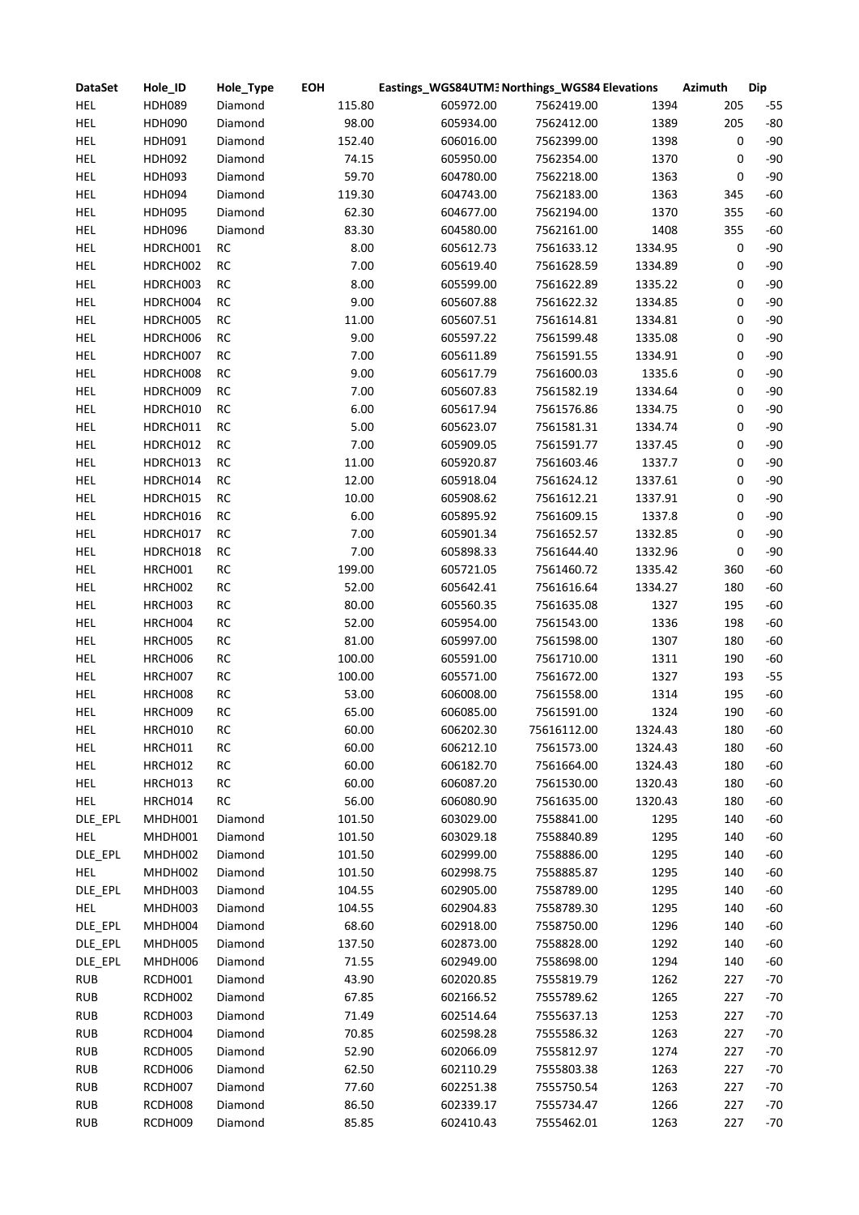| <b>DataSet</b> | Hole_ID       | Hole_Type | <b>EOH</b> | Eastings_WGS84UTM3 Northings_WGS84 Elevations |             |         | <b>Azimuth</b> | <b>Dip</b> |
|----------------|---------------|-----------|------------|-----------------------------------------------|-------------|---------|----------------|------------|
| <b>HEL</b>     | <b>HDH089</b> | Diamond   | 115.80     | 605972.00                                     | 7562419.00  | 1394    | 205            | $-55$      |
| <b>HEL</b>     | <b>HDH090</b> | Diamond   | 98.00      | 605934.00                                     | 7562412.00  | 1389    | 205            | $-80$      |
| <b>HEL</b>     | HDH091        | Diamond   | 152.40     | 606016.00                                     | 7562399.00  | 1398    | 0              | $-90$      |
| HEL            | <b>HDH092</b> | Diamond   | 74.15      | 605950.00                                     | 7562354.00  | 1370    | 0              | $-90$      |
| <b>HEL</b>     | <b>HDH093</b> | Diamond   | 59.70      | 604780.00                                     | 7562218.00  | 1363    | 0              | $-90$      |
| <b>HEL</b>     | <b>HDH094</b> | Diamond   | 119.30     | 604743.00                                     | 7562183.00  | 1363    | 345            | $-60$      |
| <b>HEL</b>     | <b>HDH095</b> | Diamond   | 62.30      | 604677.00                                     | 7562194.00  | 1370    | 355            | $-60$      |
| <b>HEL</b>     | <b>HDH096</b> | Diamond   | 83.30      | 604580.00                                     | 7562161.00  | 1408    | 355            | $-60$      |
| <b>HEL</b>     | HDRCH001      | RC        | 8.00       | 605612.73                                     | 7561633.12  | 1334.95 | 0              | $-90$      |
| <b>HEL</b>     | HDRCH002      | $\sf RC$  | 7.00       | 605619.40                                     | 7561628.59  | 1334.89 | 0              | $-90$      |
| <b>HEL</b>     | HDRCH003      | RC        | 8.00       | 605599.00                                     | 7561622.89  | 1335.22 | 0              | $-90$      |
| <b>HEL</b>     | HDRCH004      | RC        | 9.00       | 605607.88                                     | 7561622.32  | 1334.85 | 0              | $-90$      |
| <b>HEL</b>     | HDRCH005      | $\sf RC$  | 11.00      | 605607.51                                     | 7561614.81  | 1334.81 | 0              | $-90$      |
| <b>HEL</b>     | HDRCH006      | $\sf RC$  | 9.00       | 605597.22                                     | 7561599.48  | 1335.08 | 0              | $-90$      |
| <b>HEL</b>     | HDRCH007      | $\sf RC$  | 7.00       | 605611.89                                     | 7561591.55  | 1334.91 | 0              | $-90$      |
| HEL            | HDRCH008      | RC        | 9.00       | 605617.79                                     | 7561600.03  | 1335.6  | 0              | $-90$      |
| HEL            | HDRCH009      | RC        | 7.00       | 605607.83                                     | 7561582.19  | 1334.64 | 0              | $-90$      |
| <b>HEL</b>     | HDRCH010      | RC        | 6.00       | 605617.94                                     | 7561576.86  | 1334.75 | 0              | $-90$      |
| <b>HEL</b>     | HDRCH011      | RC        | 5.00       | 605623.07                                     | 7561581.31  | 1334.74 | 0              | $-90$      |
| <b>HEL</b>     | HDRCH012      | RC        | 7.00       | 605909.05                                     | 7561591.77  | 1337.45 | 0              | $-90$      |
| <b>HEL</b>     | HDRCH013      | RC        | 11.00      | 605920.87                                     | 7561603.46  | 1337.7  | 0              | $-90$      |
| <b>HEL</b>     | HDRCH014      | RC        | 12.00      | 605918.04                                     | 7561624.12  | 1337.61 | 0              | $-90$      |
| <b>HEL</b>     | HDRCH015      | $\sf RC$  | 10.00      | 605908.62                                     | 7561612.21  | 1337.91 | 0              | $-90$      |
| <b>HEL</b>     | HDRCH016      | RC        | 6.00       | 605895.92                                     | 7561609.15  | 1337.8  | 0              | $-90$      |
|                |               |           | 7.00       |                                               |             |         |                | $-90$      |
| <b>HEL</b>     | HDRCH017      | RC        | 7.00       | 605901.34                                     | 7561652.57  | 1332.85 | 0              | $-90$      |
| <b>HEL</b>     | HDRCH018      | RC        |            | 605898.33                                     | 7561644.40  | 1332.96 | 0              |            |
| <b>HEL</b>     | HRCH001       | $\sf RC$  | 199.00     | 605721.05                                     | 7561460.72  | 1335.42 | 360            | $-60$      |
| <b>HEL</b>     | HRCH002       | RC        | 52.00      | 605642.41                                     | 7561616.64  | 1334.27 | 180            | $-60$      |
| <b>HEL</b>     | HRCH003       | $\sf RC$  | 80.00      | 605560.35                                     | 7561635.08  | 1327    | 195            | $-60$      |
| <b>HEL</b>     | HRCH004       | $\sf RC$  | 52.00      | 605954.00                                     | 7561543.00  | 1336    | 198            | $-60$      |
| <b>HEL</b>     | HRCH005       | $\sf RC$  | 81.00      | 605997.00                                     | 7561598.00  | 1307    | 180            | $-60$      |
| HEL            | HRCH006       | $\sf RC$  | 100.00     | 605591.00                                     | 7561710.00  | 1311    | 190            | $-60$      |
| HEL            | HRCH007       | $\sf RC$  | 100.00     | 605571.00                                     | 7561672.00  | 1327    | 193            | $-55$      |
| HEL            | HRCH008       | $\sf RC$  | 53.00      | 606008.00                                     | 7561558.00  | 1314    | 195            | $-60$      |
| <b>HEL</b>     | HRCH009       | RC        | 65.00      | 606085.00                                     | 7561591.00  | 1324    | 190            | $-60$      |
| HEL            | HRCH010       | RC        | 60.00      | 606202.30                                     | 75616112.00 | 1324.43 | 180            | $-60$      |
| HEL            | HRCH011       | RC        | 60.00      | 606212.10                                     | 7561573.00  | 1324.43 | 180            | $-60$      |
| <b>HEL</b>     | HRCH012       | RC        | 60.00      | 606182.70                                     | 7561664.00  | 1324.43 | 180            | $-60$      |
| HEL            | HRCH013       | RC        | 60.00      | 606087.20                                     | 7561530.00  | 1320.43 | 180            | $-60$      |
| <b>HEL</b>     | HRCH014       | RC        | 56.00      | 606080.90                                     | 7561635.00  | 1320.43 | 180            | $-60$      |
| DLE_EPL        | MHDH001       | Diamond   | 101.50     | 603029.00                                     | 7558841.00  | 1295    | 140            | $-60$      |
| <b>HEL</b>     | MHDH001       | Diamond   | 101.50     | 603029.18                                     | 7558840.89  | 1295    | 140            | $-60$      |
| DLE EPL        | MHDH002       | Diamond   | 101.50     | 602999.00                                     | 7558886.00  | 1295    | 140            | $-60$      |
| <b>HEL</b>     | MHDH002       | Diamond   | 101.50     | 602998.75                                     | 7558885.87  | 1295    | 140            | $-60$      |
| DLE_EPL        | MHDH003       | Diamond   | 104.55     | 602905.00                                     | 7558789.00  | 1295    | 140            | $-60$      |
| <b>HEL</b>     | MHDH003       | Diamond   | 104.55     | 602904.83                                     | 7558789.30  | 1295    | 140            | $-60$      |
| DLE_EPL        | MHDH004       | Diamond   | 68.60      | 602918.00                                     | 7558750.00  | 1296    | 140            | $-60$      |
| DLE_EPL        | MHDH005       | Diamond   | 137.50     | 602873.00                                     | 7558828.00  | 1292    | 140            | $-60$      |
| DLE_EPL        | MHDH006       | Diamond   | 71.55      | 602949.00                                     | 7558698.00  | 1294    | 140            | $-60$      |
| <b>RUB</b>     | RCDH001       | Diamond   | 43.90      | 602020.85                                     | 7555819.79  | 1262    | 227            | $-70$      |
| <b>RUB</b>     | RCDH002       | Diamond   | 67.85      | 602166.52                                     | 7555789.62  | 1265    | 227            | $-70$      |
| <b>RUB</b>     | RCDH003       | Diamond   | 71.49      | 602514.64                                     | 7555637.13  | 1253    | 227            | $-70$      |
| <b>RUB</b>     | RCDH004       | Diamond   | 70.85      | 602598.28                                     | 7555586.32  | 1263    | 227            | $-70$      |
| <b>RUB</b>     | RCDH005       | Diamond   | 52.90      | 602066.09                                     | 7555812.97  | 1274    | 227            | $-70$      |
| <b>RUB</b>     | RCDH006       | Diamond   | 62.50      | 602110.29                                     | 7555803.38  | 1263    | 227            | $-70$      |
| <b>RUB</b>     | RCDH007       | Diamond   | 77.60      | 602251.38                                     | 7555750.54  | 1263    | 227            | $-70$      |
| <b>RUB</b>     | RCDH008       | Diamond   | 86.50      | 602339.17                                     | 7555734.47  | 1266    | 227            | $-70$      |
| <b>RUB</b>     | RCDH009       | Diamond   | 85.85      | 602410.43                                     | 7555462.01  | 1263    | 227            | $-70$      |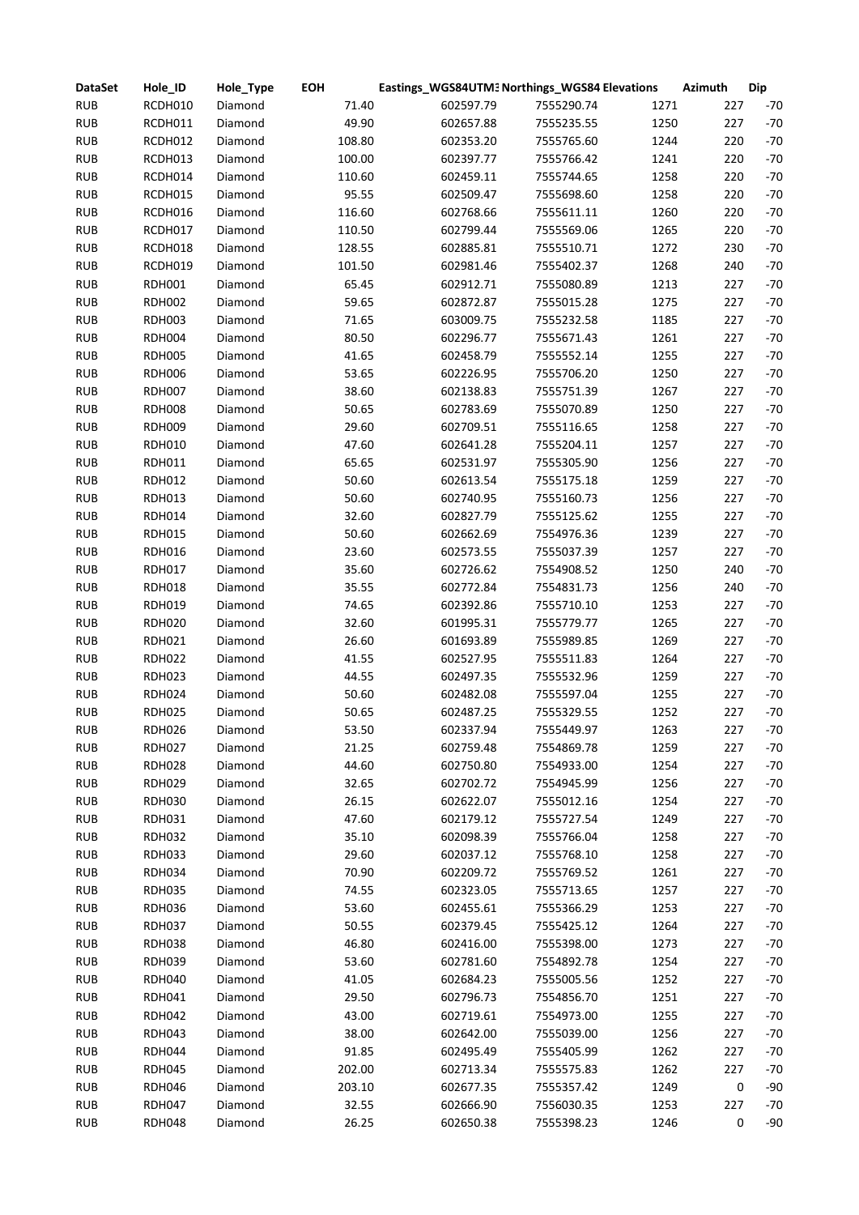| <b>DataSet</b> | Hole_ID       | Hole_Type | <b>EOH</b> |           | Eastings_WGS84UTM3 Northings_WGS84 Elevations |      | <b>Azimuth</b> | <b>Dip</b> |
|----------------|---------------|-----------|------------|-----------|-----------------------------------------------|------|----------------|------------|
| <b>RUB</b>     | RCDH010       | Diamond   | 71.40      | 602597.79 | 7555290.74                                    | 1271 | 227            | $-70$      |
| <b>RUB</b>     | RCDH011       | Diamond   | 49.90      | 602657.88 | 7555235.55                                    | 1250 | 227            | $-70$      |
| <b>RUB</b>     | RCDH012       | Diamond   | 108.80     | 602353.20 | 7555765.60                                    | 1244 | 220            | $-70$      |
| <b>RUB</b>     | RCDH013       | Diamond   | 100.00     | 602397.77 | 7555766.42                                    | 1241 | 220            | $-70$      |
| <b>RUB</b>     | RCDH014       | Diamond   | 110.60     | 602459.11 | 7555744.65                                    | 1258 | 220            | $-70$      |
| <b>RUB</b>     | RCDH015       | Diamond   | 95.55      | 602509.47 | 7555698.60                                    | 1258 | 220            | $-70$      |
| <b>RUB</b>     | RCDH016       | Diamond   | 116.60     | 602768.66 | 7555611.11                                    | 1260 | 220            | $-70$      |
| <b>RUB</b>     | RCDH017       | Diamond   | 110.50     | 602799.44 | 7555569.06                                    | 1265 | 220            | $-70$      |
| <b>RUB</b>     | RCDH018       | Diamond   | 128.55     | 602885.81 | 7555510.71                                    | 1272 | 230            | $-70$      |
| <b>RUB</b>     | RCDH019       | Diamond   | 101.50     | 602981.46 | 7555402.37                                    | 1268 | 240            | $-70$      |
| <b>RUB</b>     | <b>RDH001</b> | Diamond   | 65.45      | 602912.71 | 7555080.89                                    | 1213 | 227            | $-70$      |
| <b>RUB</b>     | <b>RDH002</b> | Diamond   | 59.65      | 602872.87 | 7555015.28                                    | 1275 | 227            | $-70$      |
| <b>RUB</b>     | <b>RDH003</b> | Diamond   | 71.65      | 603009.75 | 7555232.58                                    | 1185 | 227            | $-70$      |
| <b>RUB</b>     | <b>RDH004</b> | Diamond   | 80.50      | 602296.77 | 7555671.43                                    | 1261 | 227            | $-70$      |
| <b>RUB</b>     | <b>RDH005</b> | Diamond   | 41.65      | 602458.79 | 7555552.14                                    | 1255 | 227            | $-70$      |
| <b>RUB</b>     | <b>RDH006</b> | Diamond   | 53.65      | 602226.95 | 7555706.20                                    | 1250 | 227            | $-70$      |
| <b>RUB</b>     | <b>RDH007</b> | Diamond   | 38.60      | 602138.83 | 7555751.39                                    | 1267 | 227            | $-70$      |
| <b>RUB</b>     | <b>RDH008</b> | Diamond   | 50.65      | 602783.69 | 7555070.89                                    | 1250 | 227            | $-70$      |
| <b>RUB</b>     | <b>RDH009</b> | Diamond   | 29.60      | 602709.51 | 7555116.65                                    | 1258 | 227            | $-70$      |
| <b>RUB</b>     | <b>RDH010</b> | Diamond   | 47.60      | 602641.28 | 7555204.11                                    | 1257 | 227            | $-70$      |
| <b>RUB</b>     | RDH011        | Diamond   | 65.65      | 602531.97 | 7555305.90                                    | 1256 | 227            | $-70$      |
| <b>RUB</b>     | <b>RDH012</b> | Diamond   | 50.60      | 602613.54 | 7555175.18                                    | 1259 | 227            | $-70$      |
| <b>RUB</b>     |               | Diamond   | 50.60      | 602740.95 | 7555160.73                                    | 1256 | 227            | $-70$      |
| <b>RUB</b>     | RDH013        |           |            |           | 7555125.62                                    | 1255 | 227            | $-70$      |
|                | <b>RDH014</b> | Diamond   | 32.60      | 602827.79 |                                               | 1239 | 227            |            |
| <b>RUB</b>     | <b>RDH015</b> | Diamond   | 50.60      | 602662.69 | 7554976.36                                    |      |                | $-70$      |
| <b>RUB</b>     | <b>RDH016</b> | Diamond   | 23.60      | 602573.55 | 7555037.39                                    | 1257 | 227            | $-70$      |
| <b>RUB</b>     | <b>RDH017</b> | Diamond   | 35.60      | 602726.62 | 7554908.52                                    | 1250 | 240            | $-70$      |
| <b>RUB</b>     | <b>RDH018</b> | Diamond   | 35.55      | 602772.84 | 7554831.73                                    | 1256 | 240            | $-70$      |
| <b>RUB</b>     | <b>RDH019</b> | Diamond   | 74.65      | 602392.86 | 7555710.10                                    | 1253 | 227            | $-70$      |
| <b>RUB</b>     | <b>RDH020</b> | Diamond   | 32.60      | 601995.31 | 7555779.77                                    | 1265 | 227            | $-70$      |
| <b>RUB</b>     | <b>RDH021</b> | Diamond   | 26.60      | 601693.89 | 7555989.85                                    | 1269 | 227            | $-70$      |
| <b>RUB</b>     | <b>RDH022</b> | Diamond   | 41.55      | 602527.95 | 7555511.83                                    | 1264 | 227            | $-70$      |
| <b>RUB</b>     | <b>RDH023</b> | Diamond   | 44.55      | 602497.35 | 7555532.96                                    | 1259 | 227            | $-70$      |
| <b>RUB</b>     | <b>RDH024</b> | Diamond   | 50.60      | 602482.08 | 7555597.04                                    | 1255 | 227            | $-70$      |
| <b>RUB</b>     | <b>RDH025</b> | Diamond   | 50.65      | 602487.25 | 7555329.55                                    | 1252 | 227            | $-70$      |
| <b>RUB</b>     | RDH026        | Diamond   | 53.50      | 602337.94 | 7555449.97                                    | 1263 | 227            | -70        |
| <b>RUB</b>     | <b>RDH027</b> | Diamond   | 21.25      | 602759.48 | 7554869.78                                    | 1259 | 227            | $-70$      |
| <b>RUB</b>     | <b>RDH028</b> | Diamond   | 44.60      | 602750.80 | 7554933.00                                    | 1254 | 227            | $-70$      |
| <b>RUB</b>     | <b>RDH029</b> | Diamond   | 32.65      | 602702.72 | 7554945.99                                    | 1256 | 227            | $-70$      |
| <b>RUB</b>     | <b>RDH030</b> | Diamond   | 26.15      | 602622.07 | 7555012.16                                    | 1254 | 227            | $-70$      |
| <b>RUB</b>     | <b>RDH031</b> | Diamond   | 47.60      | 602179.12 | 7555727.54                                    | 1249 | 227            | $-70$      |
| <b>RUB</b>     | <b>RDH032</b> | Diamond   | 35.10      | 602098.39 | 7555766.04                                    | 1258 | 227            | $-70$      |
| <b>RUB</b>     | <b>RDH033</b> | Diamond   | 29.60      | 602037.12 | 7555768.10                                    | 1258 | 227            | $-70$      |
| <b>RUB</b>     | <b>RDH034</b> | Diamond   | 70.90      | 602209.72 | 7555769.52                                    | 1261 | 227            | $-70$      |
| <b>RUB</b>     | <b>RDH035</b> | Diamond   | 74.55      | 602323.05 | 7555713.65                                    | 1257 | 227            | $-70$      |
| <b>RUB</b>     | <b>RDH036</b> | Diamond   | 53.60      | 602455.61 | 7555366.29                                    | 1253 | 227            | $-70$      |
| <b>RUB</b>     | <b>RDH037</b> | Diamond   | 50.55      | 602379.45 | 7555425.12                                    | 1264 | 227            | $-70$      |
| <b>RUB</b>     | <b>RDH038</b> | Diamond   | 46.80      | 602416.00 | 7555398.00                                    | 1273 | 227            | $-70$      |
| <b>RUB</b>     | <b>RDH039</b> | Diamond   | 53.60      | 602781.60 | 7554892.78                                    | 1254 | 227            | $-70$      |
| <b>RUB</b>     | <b>RDH040</b> | Diamond   | 41.05      | 602684.23 | 7555005.56                                    | 1252 | 227            | $-70$      |
| <b>RUB</b>     | RDH041        | Diamond   | 29.50      | 602796.73 | 7554856.70                                    | 1251 | 227            | $-70$      |
| <b>RUB</b>     | <b>RDH042</b> | Diamond   | 43.00      | 602719.61 | 7554973.00                                    | 1255 | 227            | $-70$      |
| <b>RUB</b>     | <b>RDH043</b> | Diamond   | 38.00      | 602642.00 | 7555039.00                                    | 1256 | 227            | $-70$      |
| <b>RUB</b>     | <b>RDH044</b> | Diamond   | 91.85      | 602495.49 | 7555405.99                                    | 1262 | 227            | $-70$      |
| <b>RUB</b>     | <b>RDH045</b> | Diamond   | 202.00     | 602713.34 | 7555575.83                                    | 1262 | 227            | $-70$      |
| <b>RUB</b>     | <b>RDH046</b> | Diamond   | 203.10     | 602677.35 | 7555357.42                                    | 1249 | 0              | $-90$      |
| <b>RUB</b>     | <b>RDH047</b> | Diamond   | 32.55      | 602666.90 | 7556030.35                                    | 1253 | 227            | $-70$      |
| <b>RUB</b>     | <b>RDH048</b> | Diamond   | 26.25      | 602650.38 | 7555398.23                                    | 1246 | 0              | $-90$      |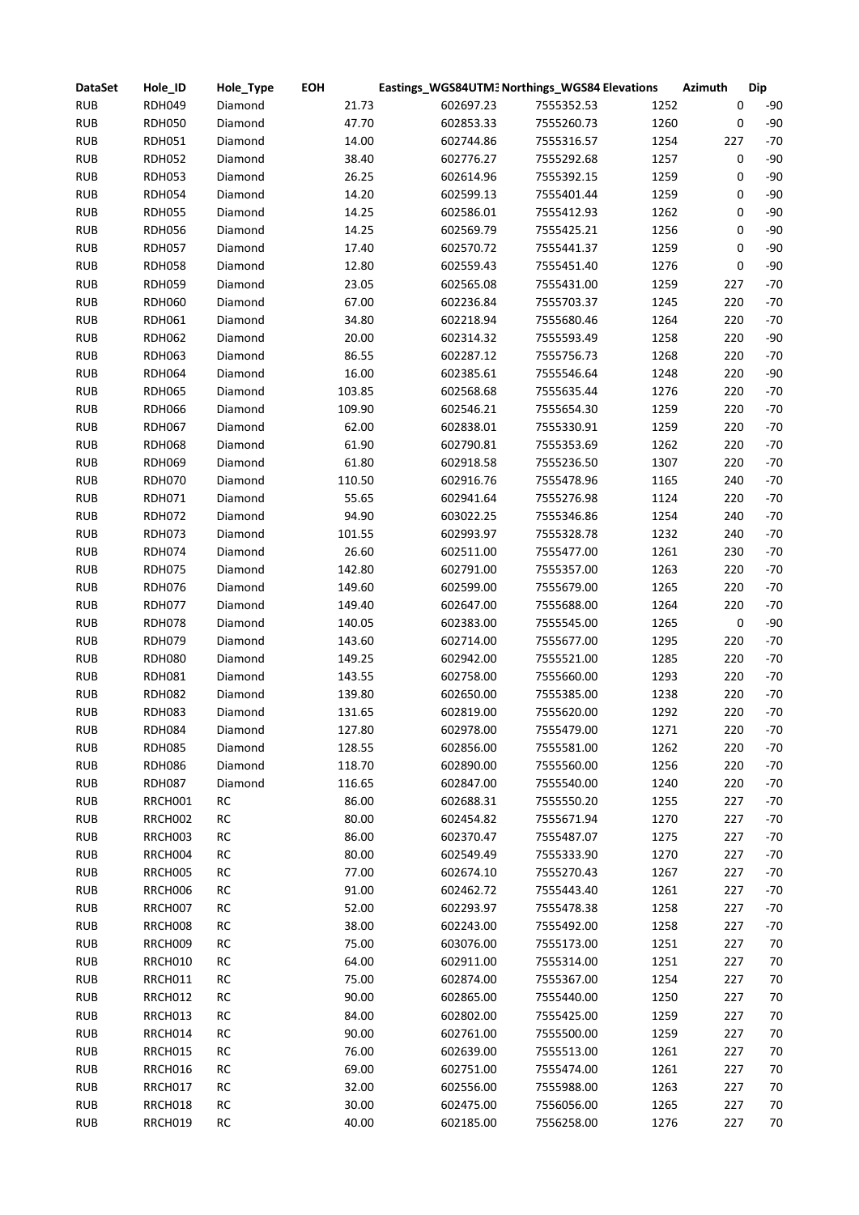| <b>DataSet</b> | Hole_ID       | Hole_Type  | <b>EOH</b> | Eastings_WGS84UTM3 Northings_WGS84 Elevations |            |      | Azimuth   | <b>Dip</b> |
|----------------|---------------|------------|------------|-----------------------------------------------|------------|------|-----------|------------|
| <b>RUB</b>     | <b>RDH049</b> | Diamond    | 21.73      | 602697.23                                     | 7555352.53 | 1252 | 0         | $-90$      |
| <b>RUB</b>     | <b>RDH050</b> | Diamond    | 47.70      | 602853.33                                     | 7555260.73 | 1260 | 0         | $-90$      |
| <b>RUB</b>     | <b>RDH051</b> | Diamond    | 14.00      | 602744.86                                     | 7555316.57 | 1254 | 227       | $-70$      |
| <b>RUB</b>     | <b>RDH052</b> | Diamond    | 38.40      | 602776.27                                     | 7555292.68 | 1257 | 0         | $-90$      |
| <b>RUB</b>     | <b>RDH053</b> | Diamond    | 26.25      | 602614.96                                     | 7555392.15 | 1259 | 0         | $-90$      |
| <b>RUB</b>     | <b>RDH054</b> | Diamond    | 14.20      | 602599.13                                     | 7555401.44 | 1259 | 0         | $-90$      |
| <b>RUB</b>     | <b>RDH055</b> | Diamond    | 14.25      | 602586.01                                     | 7555412.93 | 1262 | 0         | $-90$      |
| <b>RUB</b>     | <b>RDH056</b> | Diamond    | 14.25      | 602569.79                                     | 7555425.21 | 1256 | 0         | $-90$      |
| <b>RUB</b>     | <b>RDH057</b> | Diamond    | 17.40      | 602570.72                                     | 7555441.37 | 1259 | 0         | $-90$      |
| <b>RUB</b>     | <b>RDH058</b> | Diamond    | 12.80      | 602559.43                                     | 7555451.40 | 1276 | 0         | $-90$      |
| <b>RUB</b>     | <b>RDH059</b> | Diamond    | 23.05      | 602565.08                                     | 7555431.00 | 1259 | 227       | $-70$      |
| <b>RUB</b>     | <b>RDH060</b> | Diamond    | 67.00      | 602236.84                                     | 7555703.37 | 1245 | 220       | $-70$      |
| <b>RUB</b>     | <b>RDH061</b> | Diamond    | 34.80      | 602218.94                                     | 7555680.46 | 1264 | 220       | $-70$      |
| <b>RUB</b>     | <b>RDH062</b> | Diamond    | 20.00      | 602314.32                                     | 7555593.49 | 1258 | 220       | $-90$      |
| <b>RUB</b>     | <b>RDH063</b> | Diamond    | 86.55      | 602287.12                                     | 7555756.73 | 1268 | 220       | $-70$      |
| <b>RUB</b>     | <b>RDH064</b> | Diamond    | 16.00      | 602385.61                                     | 7555546.64 | 1248 | 220       | $-90$      |
| <b>RUB</b>     | <b>RDH065</b> | Diamond    | 103.85     | 602568.68                                     | 7555635.44 | 1276 | 220       | $-70$      |
| <b>RUB</b>     | <b>RDH066</b> | Diamond    | 109.90     | 602546.21                                     | 7555654.30 | 1259 | 220       | $-70$      |
| <b>RUB</b>     | <b>RDH067</b> | Diamond    | 62.00      | 602838.01                                     | 7555330.91 | 1259 | 220       | $-70$      |
| <b>RUB</b>     | <b>RDH068</b> | Diamond    | 61.90      | 602790.81                                     | 7555353.69 | 1262 | 220       | $-70$      |
| <b>RUB</b>     | <b>RDH069</b> | Diamond    | 61.80      | 602918.58                                     | 7555236.50 | 1307 | 220       | $-70$      |
| <b>RUB</b>     | <b>RDH070</b> | Diamond    | 110.50     | 602916.76                                     | 7555478.96 | 1165 | 240       | $-70$      |
| <b>RUB</b>     |               |            | 55.65      | 602941.64                                     | 7555276.98 | 1124 | 220       | $-70$      |
|                | RDH071        | Diamond    |            |                                               |            |      | 240       | $-70$      |
| <b>RUB</b>     | <b>RDH072</b> | Diamond    | 94.90      | 603022.25                                     | 7555346.86 | 1254 |           |            |
| <b>RUB</b>     | <b>RDH073</b> | Diamond    | 101.55     | 602993.97                                     | 7555328.78 | 1232 | 240       | $-70$      |
| <b>RUB</b>     | <b>RDH074</b> | Diamond    | 26.60      | 602511.00                                     | 7555477.00 | 1261 | 230       | $-70$      |
| <b>RUB</b>     | <b>RDH075</b> | Diamond    | 142.80     | 602791.00                                     | 7555357.00 | 1263 | 220       | $-70$      |
| <b>RUB</b>     | <b>RDH076</b> | Diamond    | 149.60     | 602599.00                                     | 7555679.00 | 1265 | 220       | $-70$      |
| <b>RUB</b>     | <b>RDH077</b> | Diamond    | 149.40     | 602647.00                                     | 7555688.00 | 1264 | 220       | $-70$      |
| <b>RUB</b>     | <b>RDH078</b> | Diamond    | 140.05     | 602383.00                                     | 7555545.00 | 1265 | $\pmb{0}$ | $-90$      |
| <b>RUB</b>     | <b>RDH079</b> | Diamond    | 143.60     | 602714.00                                     | 7555677.00 | 1295 | 220       | $-70$      |
| <b>RUB</b>     | <b>RDH080</b> | Diamond    | 149.25     | 602942.00                                     | 7555521.00 | 1285 | 220       | $-70$      |
| <b>RUB</b>     | <b>RDH081</b> | Diamond    | 143.55     | 602758.00                                     | 7555660.00 | 1293 | 220       | $-70$      |
| <b>RUB</b>     | <b>RDH082</b> | Diamond    | 139.80     | 602650.00                                     | 7555385.00 | 1238 | 220       | $-70$      |
| <b>RUB</b>     | <b>RDH083</b> | Diamond    | 131.65     | 602819.00                                     | 7555620.00 | 1292 | 220       | $-70$      |
| <b>RUB</b>     | RDH084        | Diamond    | 127.80     | 602978.00                                     | 7555479.00 | 1271 | 220       | -70        |
| <b>RUB</b>     | <b>RDH085</b> | Diamond    | 128.55     | 602856.00                                     | 7555581.00 | 1262 | 220       | $-70$      |
| <b>RUB</b>     | <b>RDH086</b> | Diamond    | 118.70     | 602890.00                                     | 7555560.00 | 1256 | 220       | $-70$      |
| <b>RUB</b>     | <b>RDH087</b> | Diamond    | 116.65     | 602847.00                                     | 7555540.00 | 1240 | 220       | $-70$      |
| <b>RUB</b>     | RRCH001       | RC         | 86.00      | 602688.31                                     | 7555550.20 | 1255 | 227       | $-70$      |
| <b>RUB</b>     | RRCH002       | RC         | 80.00      | 602454.82                                     | 7555671.94 | 1270 | 227       | $-70$      |
| <b>RUB</b>     | RRCH003       | $\sf RC$   | 86.00      | 602370.47                                     | 7555487.07 | 1275 | 227       | $-70$      |
| <b>RUB</b>     | RRCH004       | $\sf RC$   | 80.00      | 602549.49                                     | 7555333.90 | 1270 | 227       | $-70$      |
| <b>RUB</b>     | RRCH005       | RC         | 77.00      | 602674.10                                     | 7555270.43 | 1267 | 227       | $-70$      |
| <b>RUB</b>     | RRCH006       | ${\sf RC}$ | 91.00      | 602462.72                                     | 7555443.40 | 1261 | 227       | $-70$      |
| <b>RUB</b>     | RRCH007       | ${\sf RC}$ | 52.00      | 602293.97                                     | 7555478.38 | 1258 | 227       | $-70$      |
| <b>RUB</b>     | RRCH008       | ${\sf RC}$ | 38.00      | 602243.00                                     | 7555492.00 | 1258 | 227       | $-70$      |
| <b>RUB</b>     | RRCH009       | ${\sf RC}$ | 75.00      | 603076.00                                     | 7555173.00 | 1251 | 227       | 70         |
| <b>RUB</b>     | RRCH010       | RC         | 64.00      | 602911.00                                     | 7555314.00 | 1251 | 227       | 70         |
| <b>RUB</b>     | RRCH011       | ${\sf RC}$ | 75.00      | 602874.00                                     | 7555367.00 | 1254 | 227       | 70         |
| <b>RUB</b>     | RRCH012       | ${\sf RC}$ | 90.00      | 602865.00                                     | 7555440.00 | 1250 | 227       | 70         |
| <b>RUB</b>     | RRCH013       | RC         | 84.00      | 602802.00                                     | 7555425.00 | 1259 | 227       | 70         |
| <b>RUB</b>     | RRCH014       | RC         | 90.00      | 602761.00                                     | 7555500.00 | 1259 | 227       | 70         |
| <b>RUB</b>     | RRCH015       | RC         | 76.00      | 602639.00                                     | 7555513.00 | 1261 | 227       | 70         |
| <b>RUB</b>     | RRCH016       | RC         | 69.00      | 602751.00                                     | 7555474.00 | 1261 | 227       | 70         |
| <b>RUB</b>     | RRCH017       | RC         | 32.00      | 602556.00                                     | 7555988.00 | 1263 | 227       | 70         |
| <b>RUB</b>     | RRCH018       | RC         | 30.00      | 602475.00                                     | 7556056.00 | 1265 | 227       | 70         |
| <b>RUB</b>     | RRCH019       | RC         | 40.00      | 602185.00                                     | 7556258.00 | 1276 | 227       | $70\,$     |